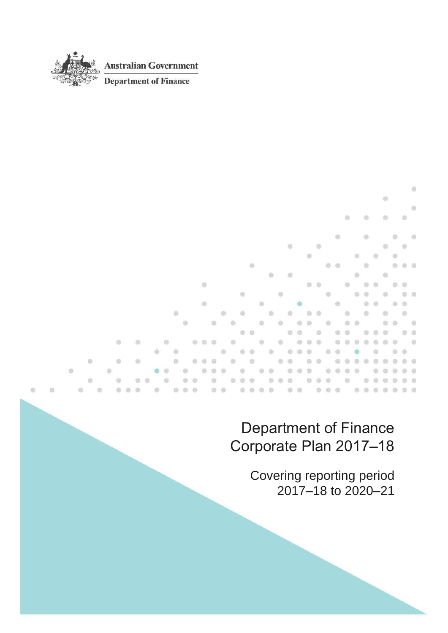

**Australian Government** 

**Department of Finance** 

#### ó ö  $\mathfrak{D}$  $\otimes$ × 'm ۵  $\ddot{\phantom{a}}$ G  $_{\odot}$  $\odot$ ö ø  $\alpha$  $\overline{0}$ m ö  $\circ$ ö ö ò  $\ddot{\circ}$ in. ö c ö d) × ø m ö  $\alpha$ m a m  $\alpha$ a  $\alpha$ m  $\oplus$  $\alpha$ m  $\oplus$ m ø  $\alpha$  $\circledcirc$  $\circ$   $\circ$  $\circ$  $\alpha$ ytis. ö  $\overline{a}$  $\mathcal{L}$  $\alpha$  $\sqrt{2}$ c.  $\alpha$

Department of Finance Corporate Plan 2017–18

> Covering reporting period 2017–18 to 2020–21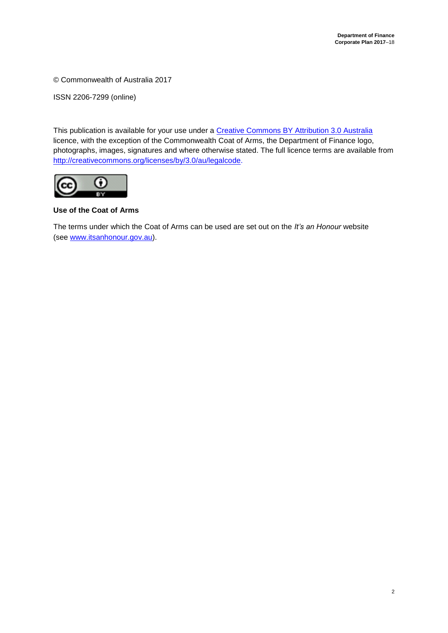© Commonwealth of Australia 2017

ISSN 2206-7299 (online)

This publication is available for your use under a [Creative Commons BY Attribution 3.0 Australia](http://creativecommons.org/licenses/by/3.0/au/deed.en) licence, with the exception of the Commonwealth Coat of Arms, the Department of Finance logo, photographs, images, signatures and where otherwise stated. The full licence terms are available from [http://creativecommons.org/licenses/by/3.0/au/legalcode.](http://creativecommons.org/licenses/by/3.0/au/legalcode)



### **Use of the Coat of Arms**

The terms under which the Coat of Arms can be used are set out on the *It's an Honour* website (see [www.itsanhonour.gov.au\)](http://www.itsanhonour.gov.au/).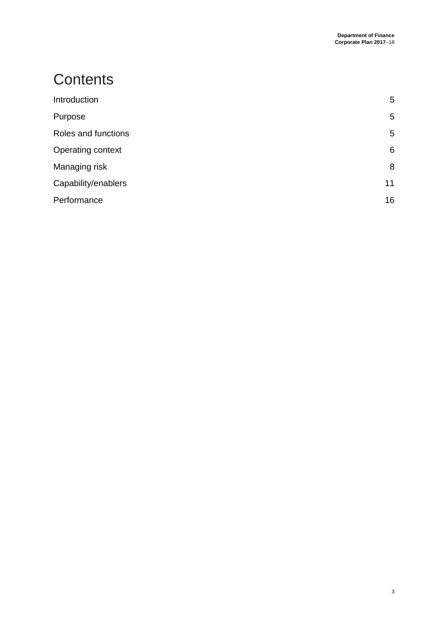# **Contents**

| Introduction        | 5  |
|---------------------|----|
| Purpose             | 5  |
| Roles and functions | 5  |
| Operating context   | 6  |
| Managing risk       | 8  |
| Capability/enablers | 11 |
| Performance         | 16 |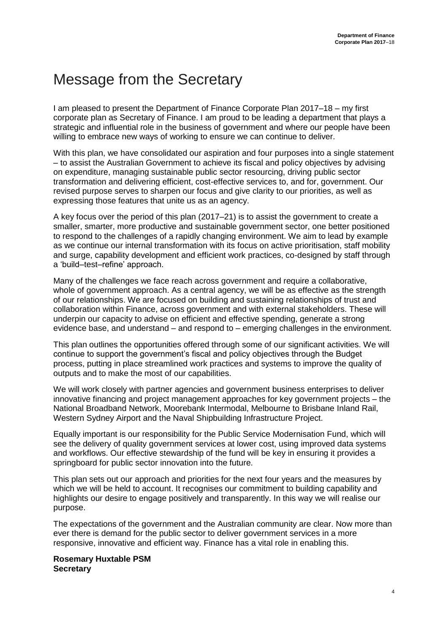# Message from the Secretary

I am pleased to present the Department of Finance Corporate Plan 2017–18 – my first corporate plan as Secretary of Finance. I am proud to be leading a department that plays a strategic and influential role in the business of government and where our people have been willing to embrace new ways of working to ensure we can continue to deliver.

With this plan, we have consolidated our aspiration and four purposes into a single statement – to assist the Australian Government to achieve its fiscal and policy objectives by advising on expenditure, managing sustainable public sector resourcing, driving public sector transformation and delivering efficient, cost-effective services to, and for, government. Our revised purpose serves to sharpen our focus and give clarity to our priorities, as well as expressing those features that unite us as an agency.

A key focus over the period of this plan (2017–21) is to assist the government to create a smaller, smarter, more productive and sustainable government sector, one better positioned to respond to the challenges of a rapidly changing environment. We aim to lead by example as we continue our internal transformation with its focus on active prioritisation, staff mobility and surge, capability development and efficient work practices, co-designed by staff through a 'build–test–refine' approach.

Many of the challenges we face reach across government and require a collaborative, whole of government approach. As a central agency, we will be as effective as the strength of our relationships. We are focused on building and sustaining relationships of trust and collaboration within Finance, across government and with external stakeholders. These will underpin our capacity to advise on efficient and effective spending, generate a strong evidence base, and understand – and respond to – emerging challenges in the environment.

This plan outlines the opportunities offered through some of our significant activities. We will continue to support the government's fiscal and policy objectives through the Budget process, putting in place streamlined work practices and systems to improve the quality of outputs and to make the most of our capabilities.

We will work closely with partner agencies and government business enterprises to deliver innovative financing and project management approaches for key government projects – the National Broadband Network, Moorebank Intermodal, Melbourne to Brisbane Inland Rail, Western Sydney Airport and the Naval Shipbuilding Infrastructure Project.

Equally important is our responsibility for the Public Service Modernisation Fund, which will see the delivery of quality government services at lower cost, using improved data systems and workflows. Our effective stewardship of the fund will be key in ensuring it provides a springboard for public sector innovation into the future.

This plan sets out our approach and priorities for the next four years and the measures by which we will be held to account. It recognises our commitment to building capability and highlights our desire to engage positively and transparently. In this way we will realise our purpose.

The expectations of the government and the Australian community are clear. Now more than ever there is demand for the public sector to deliver government services in a more responsive, innovative and efficient way. Finance has a vital role in enabling this.

#### **Rosemary Huxtable PSM Secretary**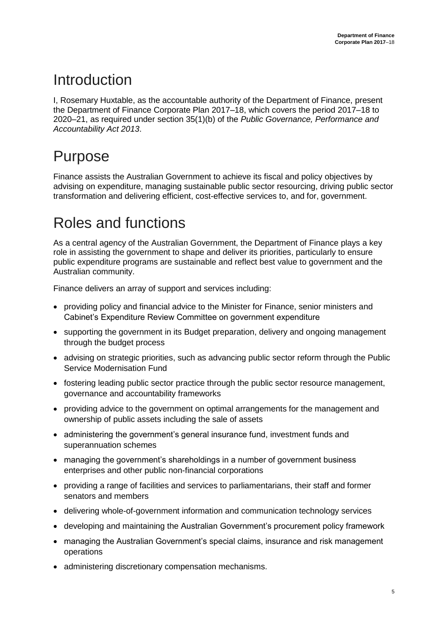# <span id="page-4-0"></span>Introduction

I, Rosemary Huxtable, as the accountable authority of the Department of Finance, present the Department of Finance Corporate Plan 2017–18, which covers the period 2017–18 to 2020–21, as required under section 35(1)(b) of the *Public Governance, Performance and Accountability Act 2013*.

# <span id="page-4-1"></span>Purpose

Finance assists the Australian Government to achieve its fiscal and policy objectives by advising on expenditure, managing sustainable public sector resourcing, driving public sector transformation and delivering efficient, cost-effective services to, and for, government.

# <span id="page-4-2"></span>Roles and functions

As a central agency of the Australian Government, the Department of Finance plays a key role in assisting the government to shape and deliver its priorities, particularly to ensure public expenditure programs are sustainable and reflect best value to government and the Australian community.

Finance delivers an array of support and services including:

- providing policy and financial advice to the Minister for Finance, senior ministers and Cabinet's Expenditure Review Committee on government expenditure
- supporting the government in its Budget preparation, delivery and ongoing management through the budget process
- advising on strategic priorities, such as advancing public sector reform through the Public Service Modernisation Fund
- fostering leading public sector practice through the public sector resource management, governance and accountability frameworks
- providing advice to the government on optimal arrangements for the management and ownership of public assets including the sale of assets
- administering the government's general insurance fund, investment funds and superannuation schemes
- managing the government's shareholdings in a number of government business enterprises and other public non-financial corporations
- providing a range of facilities and services to parliamentarians, their staff and former senators and members
- delivering whole-of-government information and communication technology services
- developing and maintaining the Australian Government's procurement policy framework
- managing the Australian Government's special claims, insurance and risk management operations
- administering discretionary compensation mechanisms.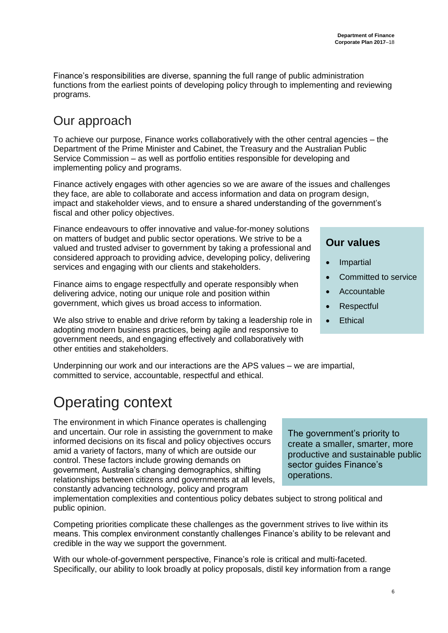Finance's responsibilities are diverse, spanning the full range of public administration functions from the earliest points of developing policy through to implementing and reviewing programs.

## Our approach

To achieve our purpose, Finance works collaboratively with the other central agencies – the Department of the Prime Minister and Cabinet, the Treasury and the Australian Public Service Commission – as well as portfolio entities responsible for developing and implementing policy and programs.

Finance actively engages with other agencies so we are aware of the issues and challenges they face, are able to collaborate and access information and data on program design, impact and stakeholder views, and to ensure a shared understanding of the government's fiscal and other policy objectives.

Finance endeavours to offer innovative and value-for-money solutions on matters of budget and public sector operations. We strive to be a valued and trusted adviser to government by taking a professional and considered approach to providing advice, developing policy, delivering services and engaging with our clients and stakeholders.

Finance aims to engage respectfully and operate responsibly when delivering advice, noting our unique role and position within government, which gives us broad access to information.

We also strive to enable and drive reform by taking a leadership role in adopting modern business practices, being agile and responsive to government needs, and engaging effectively and collaboratively with other entities and stakeholders.

Underpinning our work and our interactions are the APS values – we are impartial, committed to service, accountable, respectful and ethical.

# Operating context

The environment in which Finance operates is challenging and uncertain. Our role in assisting the government to make informed decisions on its fiscal and policy objectives occurs amid a variety of factors, many of which are outside our control. These factors include growing demands on government, Australia's changing demographics, shifting relationships between citizens and governments at all levels, constantly advancing technology, policy and program

<span id="page-5-0"></span>The government's priority to create a smaller, smarter, more productive and sustainable public sector guides Finance's operations.

implementation complexities and contentious policy debates subject to strong political and public opinion.

Competing priorities complicate these challenges as the government strives to live within its means. This complex environment constantly challenges Finance's ability to be relevant and credible in the way we support the government.

With our whole-of-government perspective, Finance's role is critical and multi-faceted. Specifically, our ability to look broadly at policy proposals, distil key information from a range

## **Our values**

- Impartial
- Committed to service
- Accountable
- **Respectful**
- **Ethical**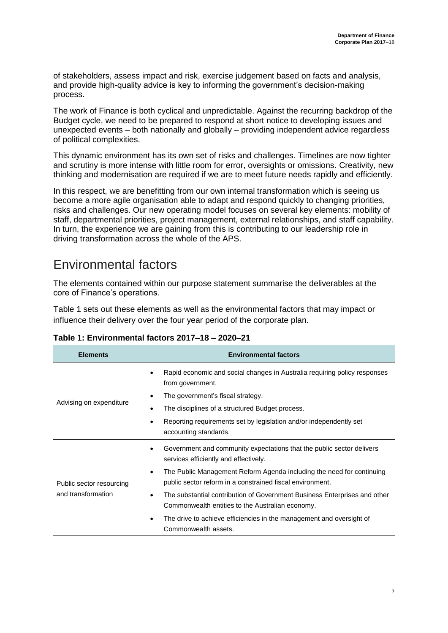of stakeholders, assess impact and risk, exercise judgement based on facts and analysis, and provide high-quality advice is key to informing the government's decision-making process.

The work of Finance is both cyclical and unpredictable. Against the recurring backdrop of the Budget cycle, we need to be prepared to respond at short notice to developing issues and unexpected events – both nationally and globally – providing independent advice regardless of political complexities.

This dynamic environment has its own set of risks and challenges. Timelines are now tighter and scrutiny is more intense with little room for error, oversights or omissions. Creativity, new thinking and modernisation are required if we are to meet future needs rapidly and efficiently.

In this respect, we are benefitting from our own internal transformation which is seeing us become a more agile organisation able to adapt and respond quickly to changing priorities, risks and challenges. Our new operating model focuses on several key elements: mobility of staff, departmental priorities, project management, external relationships, and staff capability. In turn, the experience we are gaining from this is contributing to our leadership role in driving transformation across the whole of the APS.

## Environmental factors

The elements contained within our purpose statement summarise the deliverables at the core of Finance's operations.

Table 1 sets out these elements as well as the environmental factors that may impact or influence their delivery over the four year period of the corporate plan.

| <b>Elements</b>          | <b>Environmental factors</b>                                                                                                                    |
|--------------------------|-------------------------------------------------------------------------------------------------------------------------------------------------|
|                          | Rapid economic and social changes in Australia requiring policy responses<br>٠<br>from government.                                              |
| Advising on expenditure  | The government's fiscal strategy.                                                                                                               |
|                          | The disciplines of a structured Budget process.                                                                                                 |
|                          | Reporting requirements set by legislation and/or independently set<br>accounting standards.                                                     |
|                          | Government and community expectations that the public sector delivers<br>services efficiently and effectively.                                  |
| Public sector resourcing | The Public Management Reform Agenda including the need for continuing<br>$\bullet$<br>public sector reform in a constrained fiscal environment. |
| and transformation       | The substantial contribution of Government Business Enterprises and other<br>$\bullet$<br>Commonwealth entities to the Australian economy.      |
|                          | The drive to achieve efficiencies in the management and oversight of<br>$\bullet$<br>Commonwealth assets.                                       |

### **Table 1: Environmental factors 2017–18 – 2020–21**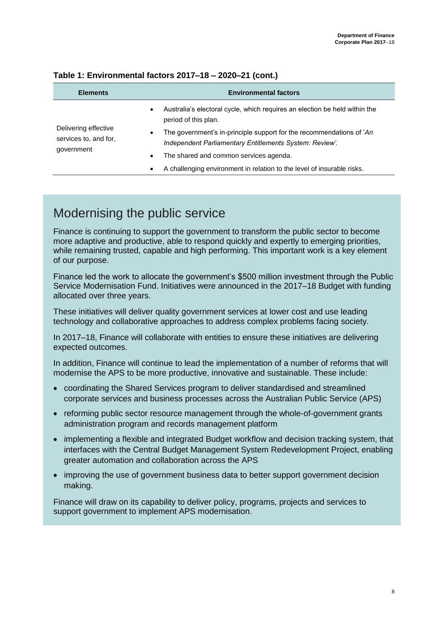| <b>Elements</b>                               | <b>Environmental factors</b>                                                                                                                 |
|-----------------------------------------------|----------------------------------------------------------------------------------------------------------------------------------------------|
|                                               | Australia's electoral cycle, which requires an election be held within the<br>$\bullet$<br>period of this plan.                              |
| Delivering effective<br>services to, and for, | The government's in-principle support for the recommendations of 'An<br>$\bullet$<br>Independent Parliamentary Entitlements System: Review'. |
| government                                    | The shared and common services agenda.<br>$\bullet$                                                                                          |
|                                               | A challenging environment in relation to the level of insurable risks.<br>$\bullet$                                                          |

### **Table 1: Environmental factors 2017–18 – 2020–21 (cont.)**

## Modernising the public service

Finance is continuing to support the government to transform the public sector to become more adaptive and productive, able to respond quickly and expertly to emerging priorities, while remaining trusted, capable and high performing. This important work is a key element of our purpose.

Finance led the work to allocate the government's \$500 million investment through the Public Service Modernisation Fund. Initiatives were announced in the 2017–18 Budget with funding allocated over three years.

These initiatives will deliver quality government services at lower cost and use leading technology and collaborative approaches to address complex problems facing society.

In 2017–18, Finance will collaborate with entities to ensure these initiatives are delivering expected outcomes.

In addition, Finance will continue to lead the implementation of a number of reforms that will modernise the APS to be more productive, innovative and sustainable. These include:

- coordinating the Shared Services program to deliver standardised and streamlined corporate services and business processes across the Australian Public Service (APS)
- reforming public sector resource management through the whole-of-government grants administration program and records management platform
- implementing a flexible and integrated Budget workflow and decision tracking system, that interfaces with the Central Budget Management System Redevelopment Project, enabling greater automation and collaboration across the APS
- improving the use of government business data to better support government decision making.

Finance will draw on its capability to deliver policy, programs, projects and services to support government to implement APS modernisation.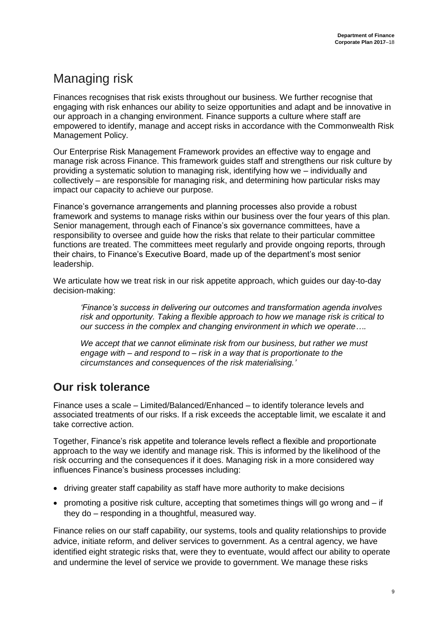## <span id="page-8-0"></span>Managing risk

Finances recognises that risk exists throughout our business. We further recognise that engaging with risk enhances our ability to seize opportunities and adapt and be innovative in our approach in a changing environment. Finance supports a culture where staff are empowered to identify, manage and accept risks in accordance with the Commonwealth Risk Management Policy.

Our Enterprise Risk Management Framework provides an effective way to engage and manage risk across Finance. This framework guides staff and strengthens our risk culture by providing a systematic solution to managing risk, identifying how we – individually and collectively – are responsible for managing risk, and determining how particular risks may impact our capacity to achieve our purpose.

Finance's governance arrangements and planning processes also provide a robust framework and systems to manage risks within our business over the four years of this plan. Senior management, through each of Finance's six governance committees, have a responsibility to oversee and guide how the risks that relate to their particular committee functions are treated. The committees meet regularly and provide ongoing reports, through their chairs, to Finance's Executive Board, made up of the department's most senior leadership.

We articulate how we treat risk in our risk appetite approach, which quides our day-to-day decision-making:

*'Finance's success in delivering our outcomes and transformation agenda involves risk and opportunity. Taking a flexible approach to how we manage risk is critical to our success in the complex and changing environment in which we operate….*

*We accept that we cannot eliminate risk from our business, but rather we must engage with – and respond to – risk in a way that is proportionate to the circumstances and consequences of the risk materialising.'*

## **Our risk tolerance**

Finance uses a scale – Limited/Balanced/Enhanced – to identify tolerance levels and associated treatments of our risks. If a risk exceeds the acceptable limit, we escalate it and take corrective action.

Together, Finance's risk appetite and tolerance levels reflect a flexible and proportionate approach to the way we identify and manage risk. This is informed by the likelihood of the risk occurring and the consequences if it does. Managing risk in a more considered way influences Finance's business processes including:

- driving greater staff capability as staff have more authority to make decisions
- promoting a positive risk culture, accepting that sometimes things will go wrong and  $-$  if they do – responding in a thoughtful, measured way.

Finance relies on our staff capability, our systems, tools and quality relationships to provide advice, initiate reform, and deliver services to government. As a central agency, we have identified eight strategic risks that, were they to eventuate, would affect our ability to operate and undermine the level of service we provide to government. We manage these risks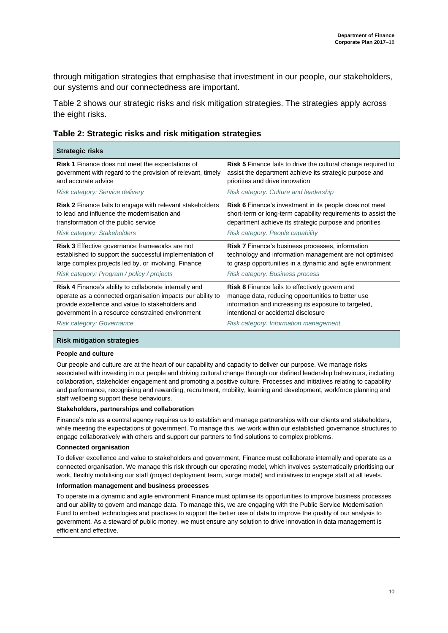through mitigation strategies that emphasise that investment in our people, our stakeholders, our systems and our connectedness are important.

Table 2 shows our strategic risks and risk mitigation strategies. The strategies apply across the eight risks.

#### **Table 2: Strategic risks and risk mitigation strategies**

| <b>Strategic risks</b>                                                                                                                                                                                                                                           |                                                                                                                                                                                                                                                     |
|------------------------------------------------------------------------------------------------------------------------------------------------------------------------------------------------------------------------------------------------------------------|-----------------------------------------------------------------------------------------------------------------------------------------------------------------------------------------------------------------------------------------------------|
| <b>Risk 1</b> Finance does not meet the expectations of<br>government with regard to the provision of relevant, timely<br>and accurate advice                                                                                                                    | <b>Risk 5</b> Finance fails to drive the cultural change required to<br>assist the department achieve its strategic purpose and<br>priorities and drive innovation                                                                                  |
| Risk category: Service delivery                                                                                                                                                                                                                                  | Risk category: Culture and leadership                                                                                                                                                                                                               |
| <b>Risk 2</b> Finance fails to engage with relevant stakeholders<br>to lead and influence the modernisation and<br>transformation of the public service                                                                                                          | <b>Risk 6</b> Finance's investment in its people does not meet<br>short-term or long-term capability requirements to assist the<br>department achieve its strategic purpose and priorities                                                          |
| Risk category: Stakeholders                                                                                                                                                                                                                                      | Risk category: People capability                                                                                                                                                                                                                    |
|                                                                                                                                                                                                                                                                  |                                                                                                                                                                                                                                                     |
| <b>Risk 3</b> Effective governance frameworks are not<br>established to support the successful implementation of<br>large complex projects led by, or involving, Finance                                                                                         | <b>Risk 7</b> Finance's business processes, information<br>technology and information management are not optimised<br>to grasp opportunities in a dynamic and agile environment                                                                     |
| Risk category: Program / policy / projects                                                                                                                                                                                                                       | Risk category: Business process                                                                                                                                                                                                                     |
| <b>Risk 4 Finance's ability to collaborate internally and</b><br>operate as a connected organisation impacts our ability to<br>provide excellence and value to stakeholders and<br>government in a resource constrained environment<br>Risk category: Governance | <b>Risk 8</b> Finance fails to effectively govern and<br>manage data, reducing opportunities to better use<br>information and increasing its exposure to targeted,<br>intentional or accidental disclosure<br>Risk category: Information management |

#### **Risk mitigation strategies**

#### **People and culture**

Our people and culture are at the heart of our capability and capacity to deliver our purpose. We manage risks associated with investing in our people and driving cultural change through our defined leadership behaviours, including collaboration, stakeholder engagement and promoting a positive culture. Processes and initiatives relating to capability and performance, recognising and rewarding, recruitment, mobility, learning and development, workforce planning and staff wellbeing support these behaviours.

#### **Stakeholders, partnerships and collaboration**

Finance's role as a central agency requires us to establish and manage partnerships with our clients and stakeholders, while meeting the expectations of government. To manage this, we work within our established governance structures to engage collaboratively with others and support our partners to find solutions to complex problems.

#### **Connected organisation**

To deliver excellence and value to stakeholders and government, Finance must collaborate internally and operate as a connected organisation. We manage this risk through our operating model, which involves systematically prioritising our work, flexibly mobilising our staff (project deployment team, surge model) and initiatives to engage staff at all levels.

#### **Information management and business processes**

To operate in a dynamic and agile environment Finance must optimise its opportunities to improve business processes and our ability to govern and manage data. To manage this, we are engaging with the Public Service Modernisation Fund to embed technologies and practices to support the better use of data to improve the quality of our analysis to government. As a steward of public money, we must ensure any solution to drive innovation in data management is efficient and effective.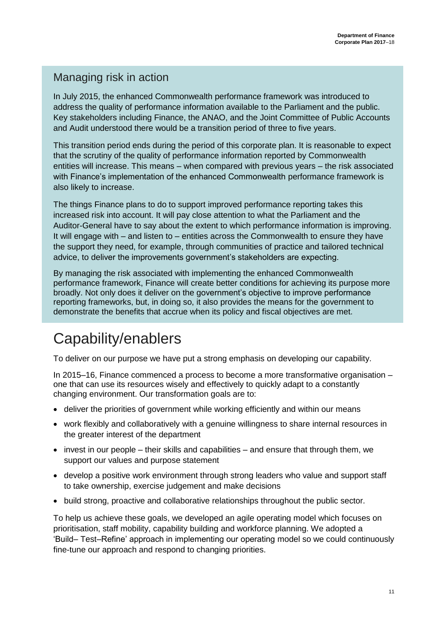## Managing risk in action

In July 2015, the enhanced Commonwealth performance framework was introduced to address the quality of performance information available to the Parliament and the public. Key stakeholders including Finance, the ANAO, and the Joint Committee of Public Accounts and Audit understood there would be a transition period of three to five years.

This transition period ends during the period of this corporate plan. It is reasonable to expect that the scrutiny of the quality of performance information reported by Commonwealth entities will increase. This means – when compared with previous years – the risk associated with Finance's implementation of the enhanced Commonwealth performance framework is also likely to increase.

The things Finance plans to do to support improved performance reporting takes this increased risk into account. It will pay close attention to what the Parliament and the Auditor-General have to say about the extent to which performance information is improving. It will engage with – and listen to – entities across the Commonwealth to ensure they have the support they need, for example, through communities of practice and tailored technical advice, to deliver the improvements government's stakeholders are expecting.

By managing the risk associated with implementing the enhanced Commonwealth performance framework, Finance will create better conditions for achieving its purpose more broadly. Not only does it deliver on the government's objective to improve performance reporting frameworks, but, in doing so, it also provides the means for the government to demonstrate the benefits that accrue when its policy and fiscal objectives are met.

# <span id="page-10-0"></span>Capability/enablers

To deliver on our purpose we have put a strong emphasis on developing our capability.

In 2015–16, Finance commenced a process to become a more transformative organisation – one that can use its resources wisely and effectively to quickly adapt to a constantly changing environment. Our transformation goals are to:

- deliver the priorities of government while working efficiently and within our means
- work flexibly and collaboratively with a genuine willingness to share internal resources in the greater interest of the department
- $\bullet$  invest in our people their skills and capabilities and ensure that through them, we support our values and purpose statement
- develop a positive work environment through strong leaders who value and support staff to take ownership, exercise judgement and make decisions
- build strong, proactive and collaborative relationships throughout the public sector.

To help us achieve these goals, we developed an agile operating model which focuses on prioritisation, staff mobility, capability building and workforce planning. We adopted a 'Build– Test–Refine' approach in implementing our operating model so we could continuously fine-tune our approach and respond to changing priorities.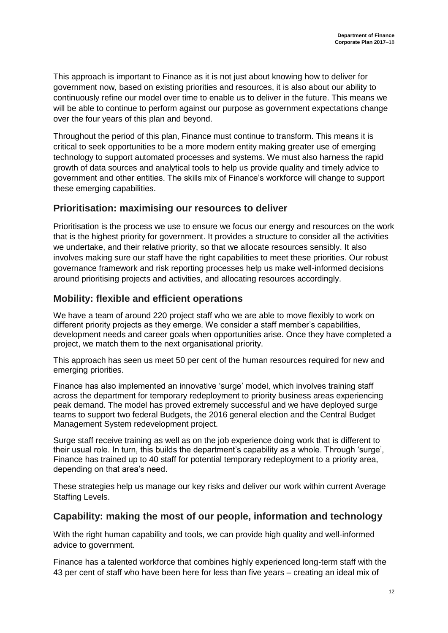This approach is important to Finance as it is not just about knowing how to deliver for government now, based on existing priorities and resources, it is also about our ability to continuously refine our model over time to enable us to deliver in the future. This means we will be able to continue to perform against our purpose as government expectations change over the four years of this plan and beyond.

Throughout the period of this plan, Finance must continue to transform. This means it is critical to seek opportunities to be a more modern entity making greater use of emerging technology to support automated processes and systems. We must also harness the rapid growth of data sources and analytical tools to help us provide quality and timely advice to government and other entities. The skills mix of Finance's workforce will change to support these emerging capabilities.

### **Prioritisation: maximising our resources to deliver**

Prioritisation is the process we use to ensure we focus our energy and resources on the work that is the highest priority for government. It provides a structure to consider all the activities we undertake, and their relative priority, so that we allocate resources sensibly. It also involves making sure our staff have the right capabilities to meet these priorities. Our robust governance framework and risk reporting processes help us make well-informed decisions around prioritising projects and activities, and allocating resources accordingly.

## **Mobility: flexible and efficient operations**

We have a team of around 220 project staff who we are able to move flexibly to work on different priority projects as they emerge. We consider a staff member's capabilities, development needs and career goals when opportunities arise. Once they have completed a project, we match them to the next organisational priority.

This approach has seen us meet 50 per cent of the human resources required for new and emerging priorities.

Finance has also implemented an innovative 'surge' model, which involves training staff across the department for temporary redeployment to priority business areas experiencing peak demand. The model has proved extremely successful and we have deployed surge teams to support two federal Budgets, the 2016 general election and the Central Budget Management System redevelopment project.

Surge staff receive training as well as on the job experience doing work that is different to their usual role. In turn, this builds the department's capability as a whole. Through 'surge', Finance has trained up to 40 staff for potential temporary redeployment to a priority area, depending on that area's need.

These strategies help us manage our key risks and deliver our work within current Average Staffing Levels.

## **Capability: making the most of our people, information and technology**

With the right human capability and tools, we can provide high quality and well-informed advice to government.

Finance has a talented workforce that combines highly experienced long-term staff with the 43 per cent of staff who have been here for less than five years – creating an ideal mix of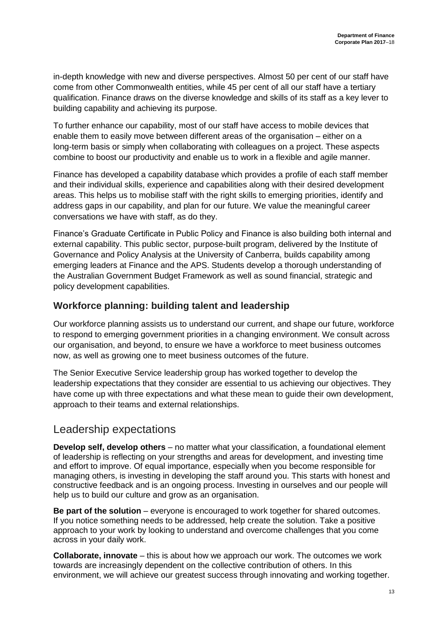in-depth knowledge with new and diverse perspectives. Almost 50 per cent of our staff have come from other Commonwealth entities, while 45 per cent of all our staff have a tertiary qualification. Finance draws on the diverse knowledge and skills of its staff as a key lever to building capability and achieving its purpose.

To further enhance our capability, most of our staff have access to mobile devices that enable them to easily move between different areas of the organisation – either on a long-term basis or simply when collaborating with colleagues on a project. These aspects combine to boost our productivity and enable us to work in a flexible and agile manner.

Finance has developed a capability database which provides a profile of each staff member and their individual skills, experience and capabilities along with their desired development areas. This helps us to mobilise staff with the right skills to emerging priorities, identify and address gaps in our capability, and plan for our future. We value the meaningful career conversations we have with staff, as do they.

Finance's Graduate Certificate in Public Policy and Finance is also building both internal and external capability. This public sector, purpose-built program, delivered by the Institute of Governance and Policy Analysis at the University of Canberra, builds capability among emerging leaders at Finance and the APS. Students develop a thorough understanding of the Australian Government Budget Framework as well as sound financial, strategic and policy development capabilities.

## **Workforce planning: building talent and leadership**

Our workforce planning assists us to understand our current, and shape our future, workforce to respond to emerging government priorities in a changing environment. We consult across our organisation, and beyond, to ensure we have a workforce to meet business outcomes now, as well as growing one to meet business outcomes of the future.

The Senior Executive Service leadership group has worked together to develop the leadership expectations that they consider are essential to us achieving our objectives. They have come up with three expectations and what these mean to guide their own development, approach to their teams and external relationships.

## Leadership expectations

**Develop self, develop others** – no matter what your classification, a foundational element of leadership is reflecting on your strengths and areas for development, and investing time and effort to improve. Of equal importance, especially when you become responsible for managing others, is investing in developing the staff around you. This starts with honest and constructive feedback and is an ongoing process. Investing in ourselves and our people will help us to build our culture and grow as an organisation.

**Be part of the solution** – everyone is encouraged to work together for shared outcomes. If you notice something needs to be addressed, help create the solution. Take a positive approach to your work by looking to understand and overcome challenges that you come across in your daily work.

**Collaborate, innovate** – this is about how we approach our work. The outcomes we work towards are increasingly dependent on the collective contribution of others. In this environment, we will achieve our greatest success through innovating and working together.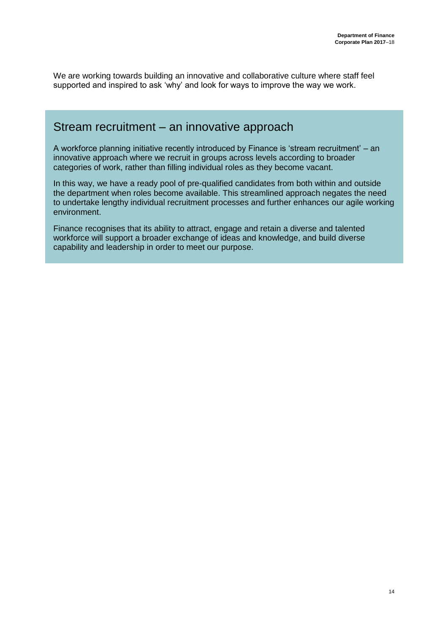We are working towards building an innovative and collaborative culture where staff feel supported and inspired to ask 'why' and look for ways to improve the way we work.

## Stream recruitment – an innovative approach

A workforce planning initiative recently introduced by Finance is 'stream recruitment' – an innovative approach where we recruit in groups across levels according to broader categories of work, rather than filling individual roles as they become vacant.

In this way, we have a ready pool of pre-qualified candidates from both within and outside the department when roles become available. This streamlined approach negates the need to undertake lengthy individual recruitment processes and further enhances our agile working environment.

Finance recognises that its ability to attract, engage and retain a diverse and talented workforce will support a broader exchange of ideas and knowledge, and build diverse capability and leadership in order to meet our purpose.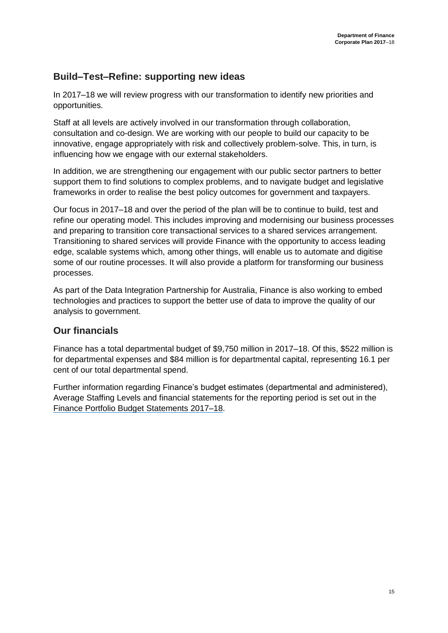## **Build–Test–Refine: supporting new ideas**

In 2017–18 we will review progress with our transformation to identify new priorities and opportunities.

Staff at all levels are actively involved in our transformation through collaboration, consultation and co-design. We are working with our people to build our capacity to be innovative, engage appropriately with risk and collectively problem-solve. This, in turn, is influencing how we engage with our external stakeholders.

In addition, we are strengthening our engagement with our public sector partners to better support them to find solutions to complex problems, and to navigate budget and legislative frameworks in order to realise the best policy outcomes for government and taxpayers.

Our focus in 2017–18 and over the period of the plan will be to continue to build, test and refine our operating model. This includes improving and modernising our business processes and preparing to transition core transactional services to a shared services arrangement. Transitioning to shared services will provide Finance with the opportunity to access leading edge, scalable systems which, among other things, will enable us to automate and digitise some of our routine processes. It will also provide a platform for transforming our business processes.

As part of the Data Integration Partnership for Australia, Finance is also working to embed technologies and practices to support the better use of data to improve the quality of our analysis to government.

## **Our financials**

Finance has a total departmental budget of \$9,750 million in 2017–18. Of this, \$522 million is for departmental expenses and \$84 million is for departmental capital, representing 16.1 per cent of our total departmental spend.

Further information regarding Finance's budget estimates (departmental and administered), Average Staffing Levels and financial statements for the reporting period is set out in the [Finance Portfolio Budget Statements 2017–18.](http://www.finance.gov.au/sites/default/files/2017-18-pbs-full.pdf?v=1)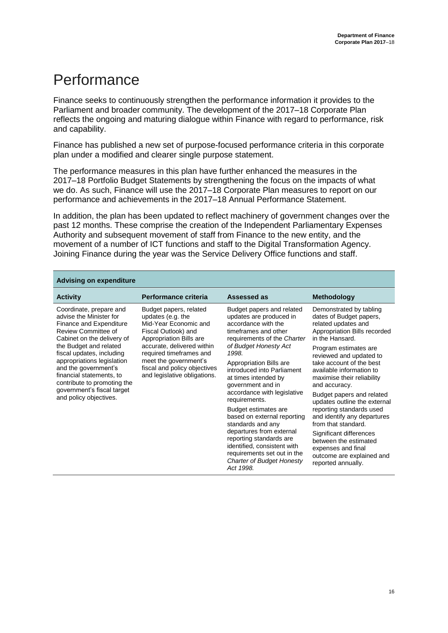# <span id="page-15-0"></span>Performance

Finance seeks to continuously strengthen the performance information it provides to the Parliament and broader community. The development of the 2017–18 Corporate Plan reflects the ongoing and maturing dialogue within Finance with regard to performance, risk and capability.

Finance has published a new set of purpose-focused performance criteria in this corporate plan under a modified and clearer single purpose statement.

The performance measures in this plan have further enhanced the measures in the 2017–18 Portfolio Budget Statements by strengthening the focus on the impacts of what we do. As such, Finance will use the 2017–18 Corporate Plan measures to report on our performance and achievements in the 2017–18 Annual Performance Statement.

In addition, the plan has been updated to reflect machinery of government changes over the past 12 months. These comprise the creation of the Independent Parliamentary Expenses Authority and subsequent movement of staff from Finance to the new entity, and the movement of a number of ICT functions and staff to the Digital Transformation Agency. Joining Finance during the year was the Service Delivery Office functions and staff.

| <b>Advising on expenditure</b>                                                                                                                                                                                                                                                                                                                                     |                                                                                                                                                                                                                                                                          |                                                                                                                                                                                                                                                                                                                                                                                                                                                                                                                                                                       |                                                                                                                                                                                                                                                                                                                                                                                                                                                                                                                                                                     |
|--------------------------------------------------------------------------------------------------------------------------------------------------------------------------------------------------------------------------------------------------------------------------------------------------------------------------------------------------------------------|--------------------------------------------------------------------------------------------------------------------------------------------------------------------------------------------------------------------------------------------------------------------------|-----------------------------------------------------------------------------------------------------------------------------------------------------------------------------------------------------------------------------------------------------------------------------------------------------------------------------------------------------------------------------------------------------------------------------------------------------------------------------------------------------------------------------------------------------------------------|---------------------------------------------------------------------------------------------------------------------------------------------------------------------------------------------------------------------------------------------------------------------------------------------------------------------------------------------------------------------------------------------------------------------------------------------------------------------------------------------------------------------------------------------------------------------|
| <b>Activity</b>                                                                                                                                                                                                                                                                                                                                                    | Performance criteria                                                                                                                                                                                                                                                     | Assessed as                                                                                                                                                                                                                                                                                                                                                                                                                                                                                                                                                           | <b>Methodology</b>                                                                                                                                                                                                                                                                                                                                                                                                                                                                                                                                                  |
| Coordinate, prepare and<br>advise the Minister for<br>Finance and Expenditure<br>Review Committee of<br>Cabinet on the delivery of<br>the Budget and related<br>fiscal updates, including<br>appropriations legislation<br>and the government's<br>financial statements, to<br>contribute to promoting the<br>government's fiscal target<br>and policy objectives. | Budget papers, related<br>updates (e.g. the<br>Mid-Year Economic and<br>Fiscal Outlook) and<br>Appropriation Bills are<br>accurate, delivered within<br>required timeframes and<br>meet the government's<br>fiscal and policy objectives<br>and legislative obligations. | Budget papers and related<br>updates are produced in<br>accordance with the<br>timeframes and other<br>requirements of the Charter<br>of Budget Honesty Act<br>1998.<br>Appropriation Bills are<br>introduced into Parliament<br>at times intended by<br>government and in<br>accordance with legislative<br>requirements.<br>Budget estimates are<br>based on external reporting<br>standards and any<br>departures from external<br>reporting standards are<br>identified, consistent with<br>requirements set out in the<br>Charter of Budget Honesty<br>Act 1998. | Demonstrated by tabling<br>dates of Budget papers,<br>related updates and<br>Appropriation Bills recorded<br>in the Hansard.<br>Program estimates are<br>reviewed and updated to<br>take account of the best<br>available information to<br>maximise their reliability<br>and accuracy.<br>Budget papers and related<br>updates outline the external<br>reporting standards used<br>and identify any departures<br>from that standard.<br>Significant differences<br>between the estimated<br>expenses and final<br>outcome are explained and<br>reported annually. |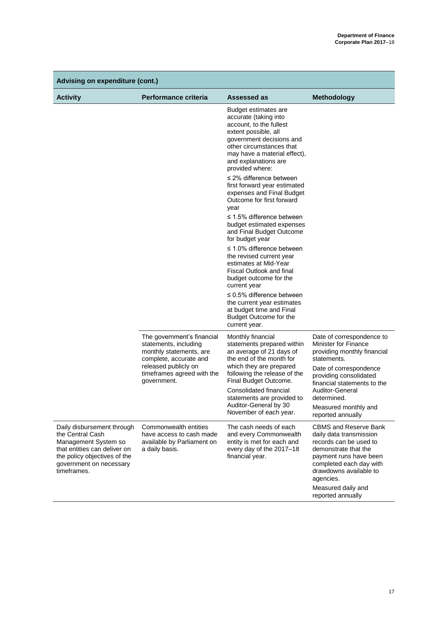| <b>Activity</b>                                                                                                                                                                  | Performance criteria                                                                                     | Assessed as                                                                                                                                                                                                                         | <b>Methodology</b>                                                                                                                                                                                                          |
|----------------------------------------------------------------------------------------------------------------------------------------------------------------------------------|----------------------------------------------------------------------------------------------------------|-------------------------------------------------------------------------------------------------------------------------------------------------------------------------------------------------------------------------------------|-----------------------------------------------------------------------------------------------------------------------------------------------------------------------------------------------------------------------------|
|                                                                                                                                                                                  |                                                                                                          | Budget estimates are<br>accurate (taking into<br>account, to the fullest<br>extent possible, all<br>government decisions and<br>other circumstances that<br>may have a material effect),<br>and explanations are<br>provided where: |                                                                                                                                                                                                                             |
|                                                                                                                                                                                  |                                                                                                          | $\leq$ 2% difference between<br>first forward year estimated<br>expenses and Final Budget<br>Outcome for first forward<br>year                                                                                                      |                                                                                                                                                                                                                             |
|                                                                                                                                                                                  |                                                                                                          | $\leq$ 1.5% difference between<br>budget estimated expenses<br>and Final Budget Outcome<br>for budget year                                                                                                                          |                                                                                                                                                                                                                             |
|                                                                                                                                                                                  |                                                                                                          | $\leq$ 1.0% difference between<br>the revised current year<br>estimates at Mid-Year<br><b>Fiscal Outlook and final</b><br>budget outcome for the<br>current year                                                                    |                                                                                                                                                                                                                             |
|                                                                                                                                                                                  |                                                                                                          | $\leq 0.5\%$ difference between<br>the current year estimates<br>at budget time and Final<br>Budget Outcome for the<br>current year.                                                                                                |                                                                                                                                                                                                                             |
|                                                                                                                                                                                  | The government's financial<br>statements, including<br>monthly statements, are<br>complete, accurate and | Monthly financial<br>statements prepared within<br>an average of 21 days of<br>the end of the month for                                                                                                                             | Date of correspondence to<br><b>Minister for Finance</b><br>providing monthly financial<br>statements.                                                                                                                      |
|                                                                                                                                                                                  | released publicly on<br>timeframes agreed with the<br>government.                                        | which they are prepared<br>following the release of the<br>Final Budget Outcome.<br>Consolidated financial                                                                                                                          | Date of correspondence<br>providing consolidated<br>financial statements to the<br>Auditor-General                                                                                                                          |
|                                                                                                                                                                                  |                                                                                                          | statements are provided to<br>Auditor-General by 30<br>November of each year.                                                                                                                                                       | determined.<br>Measured monthly and<br>reported annually                                                                                                                                                                    |
| Daily disbursement through<br>the Central Cash<br>Management System so<br>that entities can deliver on<br>the policy objectives of the<br>government on necessary<br>timeframes. | Commonwealth entities<br>have access to cash made<br>available by Parliament on<br>a daily basis.        | The cash needs of each<br>and every Commonwealth<br>entity is met for each and<br>every day of the 2017-18<br>financial year.                                                                                                       | <b>CBMS and Reserve Bank</b><br>daily data transmission<br>records can be used to<br>demonstrate that the<br>payment runs have been<br>completed each day with<br>drawdowns available to<br>agencies.<br>Measured daily and |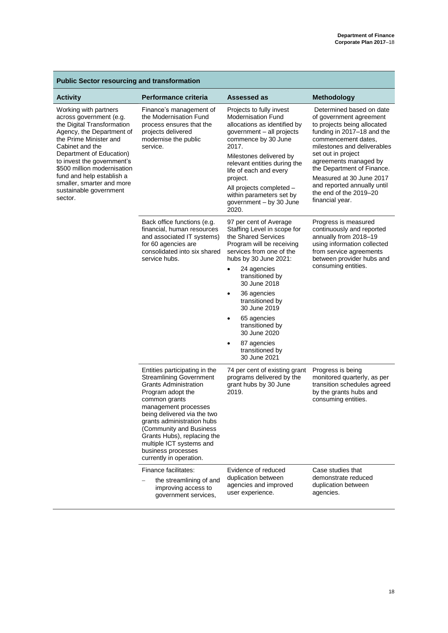### **Public Sector resourcing and transformation**

| <b>Activity</b>                                                                                                                                                                                                                                                                                                                                  | Performance criteria                                                                                                                                                                                                                                                                                                                                              | Assessed as                                                                                                                                                                                                                                                                                                                                                                                      | <b>Methodology</b>                                                                                                                                                                                                                                                                                                                                          |
|--------------------------------------------------------------------------------------------------------------------------------------------------------------------------------------------------------------------------------------------------------------------------------------------------------------------------------------------------|-------------------------------------------------------------------------------------------------------------------------------------------------------------------------------------------------------------------------------------------------------------------------------------------------------------------------------------------------------------------|--------------------------------------------------------------------------------------------------------------------------------------------------------------------------------------------------------------------------------------------------------------------------------------------------------------------------------------------------------------------------------------------------|-------------------------------------------------------------------------------------------------------------------------------------------------------------------------------------------------------------------------------------------------------------------------------------------------------------------------------------------------------------|
| Working with partners<br>across government (e.g.<br>the Digital Transformation<br>Agency, the Department of<br>the Prime Minister and<br>Cabinet and the<br>Department of Education)<br>to invest the government's<br>\$500 million modernisation<br>fund and help establish a<br>smaller, smarter and more<br>sustainable government<br>sector. | Finance's management of<br>the Modernisation Fund<br>process ensures that the<br>projects delivered<br>modernise the public<br>service.                                                                                                                                                                                                                           | Projects to fully invest<br><b>Modernisation Fund</b><br>allocations as identified by<br>government - all projects<br>commence by 30 June<br>2017.<br>Milestones delivered by<br>relevant entities during the<br>life of each and every<br>project.<br>All projects completed -<br>within parameters set by<br>government - by 30 June<br>2020.                                                  | Determined based on date<br>of government agreement<br>to projects being allocated<br>funding in 2017-18 and the<br>commencement dates,<br>milestones and deliverables<br>set out in project<br>agreements managed by<br>the Department of Finance.<br>Measured at 30 June 2017<br>and reported annually until<br>the end of the 2019–20<br>financial year. |
|                                                                                                                                                                                                                                                                                                                                                  | Back office functions (e.g.<br>financial, human resources<br>and associated IT systems)<br>for 60 agencies are<br>consolidated into six shared<br>service hubs.                                                                                                                                                                                                   | 97 per cent of Average<br>Staffing Level in scope for<br>the Shared Services<br>Program will be receiving<br>services from one of the<br>hubs by 30 June 2021:<br>24 agencies<br>$\bullet$<br>transitioned by<br>30 June 2018<br>36 agencies<br>$\bullet$<br>transitioned by<br>30 June 2019<br>65 agencies<br>transitioned by<br>30 June 2020<br>87 agencies<br>transitioned by<br>30 June 2021 | Progress is measured<br>continuously and reported<br>annually from 2018-19<br>using information collected<br>from service agreements<br>between provider hubs and<br>consuming entities.                                                                                                                                                                    |
|                                                                                                                                                                                                                                                                                                                                                  | Entities participating in the<br><b>Streamlining Government</b><br><b>Grants Administration</b><br>Program adopt the<br>common grants<br>management processes<br>being delivered via the two<br>grants administration hubs<br>(Community and Business<br>Grants Hubs), replacing the<br>multiple ICT systems and<br>business processes<br>currently in operation. | 74 per cent of existing grant<br>programs delivered by the<br>grant hubs by 30 June<br>2019.                                                                                                                                                                                                                                                                                                     | Progress is being<br>monitored quarterly, as per<br>transition schedules agreed<br>by the grants hubs and<br>consuming entities.                                                                                                                                                                                                                            |
|                                                                                                                                                                                                                                                                                                                                                  | Finance facilitates:<br>the streamlining of and<br>improving access to<br>government services,                                                                                                                                                                                                                                                                    | Evidence of reduced<br>duplication between<br>agencies and improved<br>user experience.                                                                                                                                                                                                                                                                                                          | Case studies that<br>demonstrate reduced<br>duplication between<br>agencies.                                                                                                                                                                                                                                                                                |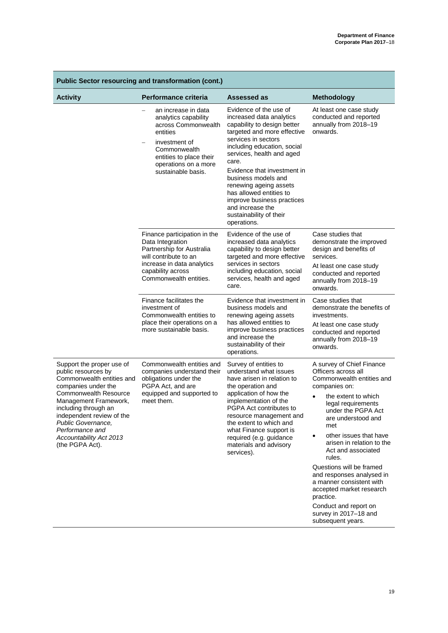÷

| Public Sector resourcing and transformation (cont.)                                                                                                                                                                                                                                                       |                                                                                                                                                                                          |                                                                                                                                                                                                                                                                                                                                                                                                                     |                                                                                                                                                                                                                                                                                                                                                                                                                                                                                                 |
|-----------------------------------------------------------------------------------------------------------------------------------------------------------------------------------------------------------------------------------------------------------------------------------------------------------|------------------------------------------------------------------------------------------------------------------------------------------------------------------------------------------|---------------------------------------------------------------------------------------------------------------------------------------------------------------------------------------------------------------------------------------------------------------------------------------------------------------------------------------------------------------------------------------------------------------------|-------------------------------------------------------------------------------------------------------------------------------------------------------------------------------------------------------------------------------------------------------------------------------------------------------------------------------------------------------------------------------------------------------------------------------------------------------------------------------------------------|
| <b>Activity</b>                                                                                                                                                                                                                                                                                           | Performance criteria                                                                                                                                                                     | Assessed as                                                                                                                                                                                                                                                                                                                                                                                                         | <b>Methodology</b>                                                                                                                                                                                                                                                                                                                                                                                                                                                                              |
|                                                                                                                                                                                                                                                                                                           | an increase in data<br>analytics capability<br>across Commonwealth<br>entities<br>investment of<br>Commonwealth<br>entities to place their<br>operations on a more<br>sustainable basis. | Evidence of the use of<br>increased data analytics<br>capability to design better<br>targeted and more effective<br>services in sectors<br>including education, social<br>services, health and aged<br>care.<br>Evidence that investment in<br>business models and<br>renewing ageing assets<br>has allowed entities to<br>improve business practices<br>and increase the<br>sustainability of their<br>operations. | At least one case study<br>conducted and reported<br>annually from 2018-19<br>onwards.                                                                                                                                                                                                                                                                                                                                                                                                          |
|                                                                                                                                                                                                                                                                                                           | Finance participation in the<br>Data Integration<br>Partnership for Australia<br>will contribute to an<br>increase in data analytics<br>capability across<br>Commonwealth entities.      | Evidence of the use of<br>increased data analytics<br>capability to design better<br>targeted and more effective<br>services in sectors<br>including education, social<br>services, health and aged<br>care.                                                                                                                                                                                                        | Case studies that<br>demonstrate the improved<br>design and benefits of<br>services.<br>At least one case study<br>conducted and reported<br>annually from 2018-19<br>onwards.                                                                                                                                                                                                                                                                                                                  |
|                                                                                                                                                                                                                                                                                                           | Finance facilitates the<br>investment of<br>Commonwealth entities to<br>place their operations on a<br>more sustainable basis.                                                           | Evidence that investment in<br>business models and<br>renewing ageing assets<br>has allowed entities to<br>improve business practices<br>and increase the<br>sustainability of their<br>operations.                                                                                                                                                                                                                 | Case studies that<br>demonstrate the benefits of<br>investments.<br>At least one case study<br>conducted and reported<br>annually from 2018-19<br>onwards.                                                                                                                                                                                                                                                                                                                                      |
| Support the proper use of<br>public resources by<br>Commonwealth entities and<br>companies under the<br><b>Commonwealth Resource</b><br>Management Framework,<br>including through an<br>independent review of the<br>Public Governance,<br>Performance and<br>Accountability Act 2013<br>(the PGPA Act). | Commonwealth entities and<br>companies understand their<br>obligations under the<br>PGPA Act, and are<br>equipped and supported to<br>meet them.                                         | Survey of entities to<br>understand what issues<br>have arisen in relation to<br>the operation and<br>application of how the<br>implementation of the<br>PGPA Act contributes to<br>resource management and<br>the extent to which and<br>what Finance support is<br>required (e.g. guidance<br>materials and advisory<br>services).                                                                                | A survey of Chief Finance<br>Officers across all<br>Commonwealth entities and<br>companies on:<br>the extent to which<br>legal requirements<br>under the PGPA Act<br>are understood and<br>met<br>other issues that have<br>٠<br>arisen in relation to the<br>Act and associated<br>rules.<br>Questions will be framed<br>and responses analysed in<br>a manner consistent with<br>accepted market research<br>practice.<br>Conduct and report on<br>survey in 2017-18 and<br>subsequent years. |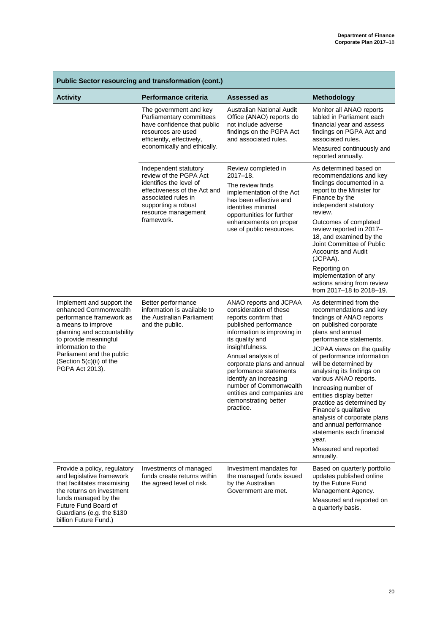| Public Sector resourcing and transformation (cont.)                                                                                                                                                                                                            |                                                                                                                                                                                               |                                                                                                                                                                                                                                                                                                                                                                             |                                                                                                                                                                                                                                                                                                                                                                                                                                                                                                                                                 |
|----------------------------------------------------------------------------------------------------------------------------------------------------------------------------------------------------------------------------------------------------------------|-----------------------------------------------------------------------------------------------------------------------------------------------------------------------------------------------|-----------------------------------------------------------------------------------------------------------------------------------------------------------------------------------------------------------------------------------------------------------------------------------------------------------------------------------------------------------------------------|-------------------------------------------------------------------------------------------------------------------------------------------------------------------------------------------------------------------------------------------------------------------------------------------------------------------------------------------------------------------------------------------------------------------------------------------------------------------------------------------------------------------------------------------------|
| <b>Activity</b>                                                                                                                                                                                                                                                | <b>Performance criteria</b>                                                                                                                                                                   | Assessed as                                                                                                                                                                                                                                                                                                                                                                 | <b>Methodology</b>                                                                                                                                                                                                                                                                                                                                                                                                                                                                                                                              |
|                                                                                                                                                                                                                                                                | The government and key<br>Parliamentary committees<br>have confidence that public<br>resources are used<br>efficiently, effectively,<br>economically and ethically.                           | Australian National Audit<br>Office (ANAO) reports do<br>not include adverse<br>findings on the PGPA Act<br>and associated rules.                                                                                                                                                                                                                                           | Monitor all ANAO reports<br>tabled in Parliament each<br>financial year and assess<br>findings on PGPA Act and<br>associated rules.<br>Measured continuously and<br>reported annually.                                                                                                                                                                                                                                                                                                                                                          |
|                                                                                                                                                                                                                                                                | Independent statutory<br>review of the PGPA Act<br>identifies the level of<br>effectiveness of the Act and<br>associated rules in<br>supporting a robust<br>resource management<br>framework. | Review completed in<br>2017-18.<br>The review finds<br>implementation of the Act<br>has been effective and<br>identifies minimal<br>opportunities for further<br>enhancements on proper<br>use of public resources.                                                                                                                                                         | As determined based on<br>recommendations and key<br>findings documented in a<br>report to the Minister for<br>Finance by the<br>independent statutory<br>review.<br>Outcomes of completed<br>review reported in 2017-<br>18, and examined by the<br>Joint Committee of Public<br><b>Accounts and Audit</b><br>(JCPAA).<br>Reporting on<br>implementation of any<br>actions arising from review<br>from 2017-18 to 2018-19.                                                                                                                     |
| Implement and support the<br>enhanced Commonwealth<br>performance framework as<br>a means to improve<br>planning and accountability<br>to provide meaningful<br>information to the<br>Parliament and the public<br>(Section 5(c)(ii) of the<br>PGPA Act 2013). | Better performance<br>information is available to<br>the Australian Parliament<br>and the public.                                                                                             | ANAO reports and JCPAA<br>consideration of these<br>reports confirm that<br>published performance<br>information is improving in<br>its quality and<br>insightfulness.<br>Annual analysis of<br>corporate plans and annual<br>performance statements<br>identify an increasing<br>number of Commonwealth<br>entities and companies are<br>demonstrating better<br>practice. | As determined from the<br>recommendations and key<br>findings of ANAO reports<br>on published corporate<br>plans and annual<br>performance statements.<br>JCPAA views on the quality<br>of performance information<br>will be determined by<br>analysing its findings on<br>various ANAO reports.<br>Increasing number of<br>entities display better<br>practice as determined by<br>Finance's qualitative<br>analysis of corporate plans<br>and annual performance<br>statements each financial<br>year.<br>Measured and reported<br>annually. |
| Provide a policy, regulatory<br>and legislative framework<br>that facilitates maximising<br>the returns on investment<br>funds managed by the<br>Future Fund Board of<br>Guardians (e.g. the \$130<br>billion Future Fund.)                                    | Investments of managed<br>funds create returns within<br>the agreed level of risk.                                                                                                            | Investment mandates for<br>the managed funds issued<br>by the Australian<br>Government are met.                                                                                                                                                                                                                                                                             | Based on quarterly portfolio<br>updates published online<br>by the Future Fund<br>Management Agency.<br>Measured and reported on<br>a quarterly basis.                                                                                                                                                                                                                                                                                                                                                                                          |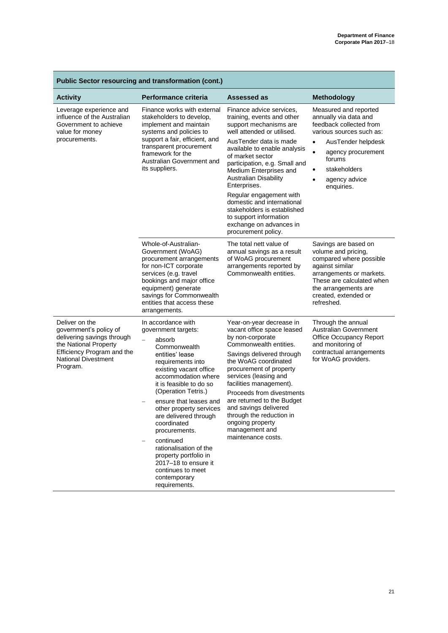an<br>Ma

| <b>Public Sector resourcing and transformation (cont.)</b>                                                                                                              |                                                                                                                                                                                                                                                                                                                                                                                                                                                                                              |                                                                                                                                                                                                                                                                                                                                                                                                                                                      |                                                                                                                                                                                                                                                        |
|-------------------------------------------------------------------------------------------------------------------------------------------------------------------------|----------------------------------------------------------------------------------------------------------------------------------------------------------------------------------------------------------------------------------------------------------------------------------------------------------------------------------------------------------------------------------------------------------------------------------------------------------------------------------------------|------------------------------------------------------------------------------------------------------------------------------------------------------------------------------------------------------------------------------------------------------------------------------------------------------------------------------------------------------------------------------------------------------------------------------------------------------|--------------------------------------------------------------------------------------------------------------------------------------------------------------------------------------------------------------------------------------------------------|
| <b>Activity</b>                                                                                                                                                         | Performance criteria                                                                                                                                                                                                                                                                                                                                                                                                                                                                         | Assessed as                                                                                                                                                                                                                                                                                                                                                                                                                                          | Methodology                                                                                                                                                                                                                                            |
| Leverage experience and<br>influence of the Australian<br>Government to achieve<br>value for money<br>procurements.                                                     | Finance works with external<br>stakeholders to develop,<br>implement and maintain<br>systems and policies to<br>support a fair, efficient, and<br>transparent procurement<br>framework for the<br>Australian Government and<br>its suppliers.                                                                                                                                                                                                                                                | Finance advice services,<br>training, events and other<br>support mechanisms are<br>well attended or utilised.<br>AusTender data is made<br>available to enable analysis<br>of market sector<br>participation, e.g. Small and<br>Medium Enterprises and<br><b>Australian Disability</b><br>Enterprises.<br>Regular engagement with<br>domestic and international<br>stakeholders is established<br>to support information<br>exchange on advances in | Measured and reported<br>annually via data and<br>feedback collected from<br>various sources such as:<br>AusTender helpdesk<br>$\bullet$<br>$\bullet$<br>agency procurement<br>forums<br>stakeholders<br>٠<br>agency advice<br>$\bullet$<br>enquiries. |
|                                                                                                                                                                         | Whole-of-Australian-<br>Government (WoAG)<br>procurement arrangements<br>for non-ICT corporate<br>services (e.g. travel<br>bookings and major office<br>equipment) generate<br>savings for Commonwealth<br>entities that access these<br>arrangements.                                                                                                                                                                                                                                       | procurement policy.<br>The total nett value of<br>annual savings as a result<br>of WoAG procurement<br>arrangements reported by<br>Commonwealth entities.                                                                                                                                                                                                                                                                                            | Savings are based on<br>volume and pricing,<br>compared where possible<br>against similar<br>arrangements or markets.<br>These are calculated when<br>the arrangements are<br>created, extended or<br>refreshed.                                       |
| Deliver on the<br>government's policy of<br>delivering savings through<br>the National Property<br>Efficiency Program and the<br><b>National Divestment</b><br>Program. | In accordance with<br>government targets:<br>absorb<br>$\overline{a}$<br>Commonwealth<br>entities' lease<br>requirements into<br>existing vacant office<br>accommodation where<br>it is feasible to do so<br>(Operation Tetris.)<br>ensure that leases and<br>other property services<br>are delivered through<br>coordinated<br>procurements.<br>continued<br>rationalisation of the<br>property portfolio in<br>2017-18 to ensure it<br>continues to meet<br>contemporary<br>requirements. | Year-on-year decrease in<br>vacant office space leased<br>by non-corporate<br>Commonwealth entities.<br>Savings delivered through<br>the WoAG coordinated<br>procurement of property<br>services (leasing and<br>facilities management).<br>Proceeds from divestments<br>are returned to the Budget<br>and savings delivered<br>through the reduction in<br>ongoing property<br>management and<br>maintenance costs.                                 | Through the annual<br><b>Australian Government</b><br>Office Occupancy Report<br>and monitoring of<br>contractual arrangements<br>for WoAG providers.                                                                                                  |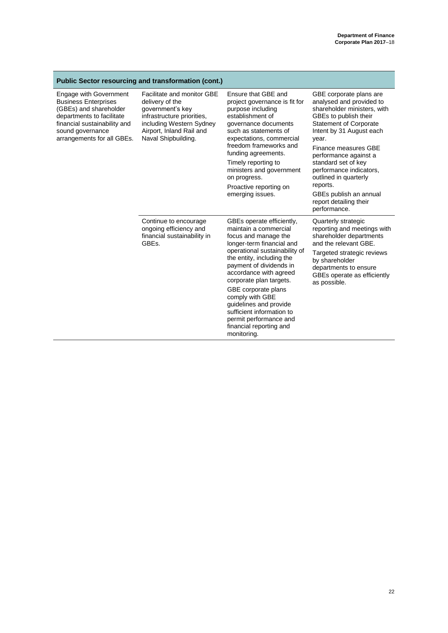| <b>Public Sector resourcing and transformation (cont.)</b>                                                                                                                                            |                                                                                                                                                                                |                                                                                                                                                                                                                                                                                                                                                                                                                            |                                                                                                                                                                                                                                                                                                                                                                                               |
|-------------------------------------------------------------------------------------------------------------------------------------------------------------------------------------------------------|--------------------------------------------------------------------------------------------------------------------------------------------------------------------------------|----------------------------------------------------------------------------------------------------------------------------------------------------------------------------------------------------------------------------------------------------------------------------------------------------------------------------------------------------------------------------------------------------------------------------|-----------------------------------------------------------------------------------------------------------------------------------------------------------------------------------------------------------------------------------------------------------------------------------------------------------------------------------------------------------------------------------------------|
| <b>Engage with Government</b><br><b>Business Enterprises</b><br>(GBEs) and shareholder<br>departments to facilitate<br>financial sustainability and<br>sound governance<br>arrangements for all GBEs. | Facilitate and monitor GBE<br>delivery of the<br>government's key<br>infrastructure priorities,<br>including Western Sydney<br>Airport, Inland Rail and<br>Naval Shipbuilding. | Ensure that GBE and<br>project governance is fit for<br>purpose including<br>establishment of<br>governance documents<br>such as statements of<br>expectations, commercial<br>freedom frameworks and<br>funding agreements.<br>Timely reporting to<br>ministers and government<br>on progress.<br>Proactive reporting on<br>emerging issues.                                                                               | GBE corporate plans are<br>analysed and provided to<br>shareholder ministers, with<br>GBEs to publish their<br><b>Statement of Corporate</b><br>Intent by 31 August each<br>year.<br>Finance measures GBE<br>performance against a<br>standard set of key<br>performance indicators,<br>outlined in quarterly<br>reports.<br>GBEs publish an annual<br>report detailing their<br>performance. |
|                                                                                                                                                                                                       | Continue to encourage<br>ongoing efficiency and<br>financial sustainability in<br>GBE <sub>s.</sub>                                                                            | GBEs operate efficiently,<br>maintain a commercial<br>focus and manage the<br>longer-term financial and<br>operational sustainability of<br>the entity, including the<br>payment of dividends in<br>accordance with agreed<br>corporate plan targets.<br>GBE corporate plans<br>comply with GBE<br>guidelines and provide<br>sufficient information to<br>permit performance and<br>financial reporting and<br>monitoring. | Quarterly strategic<br>reporting and meetings with<br>shareholder departments<br>and the relevant GBE.<br>Targeted strategic reviews<br>by shareholder<br>departments to ensure<br>GBEs operate as efficiently<br>as possible.                                                                                                                                                                |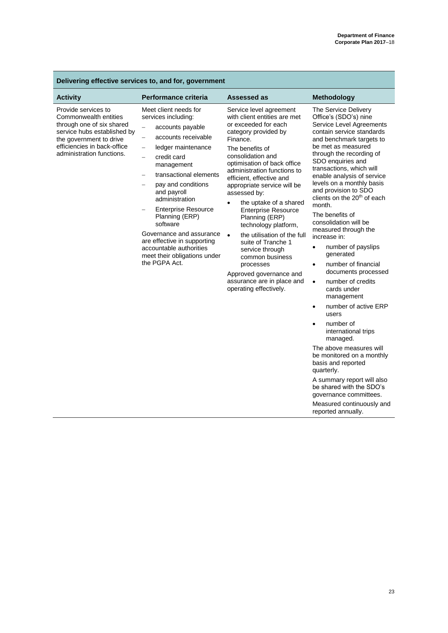| Denvering encenve services to, and for, g                                                                                                                                                       |                                                                                                                                                                                                                                                                                                                                                                                                                                                                                                                                                                                                 |                                                                                                                                                                                                                                                                                                                                                                                                                                                                                                                                                                                                                             |                                                                                                                                                                                                                                                                                                                                                                                                                                                                                                                                                                                                                                                                                                                                                                                                                                                                                                                                                                           |
|-------------------------------------------------------------------------------------------------------------------------------------------------------------------------------------------------|-------------------------------------------------------------------------------------------------------------------------------------------------------------------------------------------------------------------------------------------------------------------------------------------------------------------------------------------------------------------------------------------------------------------------------------------------------------------------------------------------------------------------------------------------------------------------------------------------|-----------------------------------------------------------------------------------------------------------------------------------------------------------------------------------------------------------------------------------------------------------------------------------------------------------------------------------------------------------------------------------------------------------------------------------------------------------------------------------------------------------------------------------------------------------------------------------------------------------------------------|---------------------------------------------------------------------------------------------------------------------------------------------------------------------------------------------------------------------------------------------------------------------------------------------------------------------------------------------------------------------------------------------------------------------------------------------------------------------------------------------------------------------------------------------------------------------------------------------------------------------------------------------------------------------------------------------------------------------------------------------------------------------------------------------------------------------------------------------------------------------------------------------------------------------------------------------------------------------------|
| <b>Activity</b>                                                                                                                                                                                 | Performance criteria                                                                                                                                                                                                                                                                                                                                                                                                                                                                                                                                                                            | Assessed as                                                                                                                                                                                                                                                                                                                                                                                                                                                                                                                                                                                                                 | <b>Methodology</b>                                                                                                                                                                                                                                                                                                                                                                                                                                                                                                                                                                                                                                                                                                                                                                                                                                                                                                                                                        |
| Provide services to<br>Commonwealth entities<br>through one of six shared<br>service hubs established by<br>the government to drive<br>efficiencies in back-office<br>administration functions. | Meet client needs for<br>services including:<br>accounts payable<br>$\overline{\phantom{0}}$<br>accounts receivable<br>$\qquad \qquad -$<br>ledger maintenance<br>$\overline{\phantom{0}}$<br>credit card<br>$\overline{\phantom{0}}$<br>management<br>transactional elements<br>$\overline{\phantom{0}}$<br>pay and conditions<br>$\overline{\phantom{0}}$<br>and payroll<br>administration<br><b>Enterprise Resource</b><br>Planning (ERP)<br>software<br>Governance and assurance<br>are effective in supporting<br>accountable authorities<br>meet their obligations under<br>the PGPA Act. | Service level agreement<br>with client entities are met<br>or exceeded for each<br>category provided by<br>Finance.<br>The benefits of<br>consolidation and<br>optimisation of back office<br>administration functions to<br>efficient, effective and<br>appropriate service will be<br>assessed by:<br>the uptake of a shared<br>$\bullet$<br><b>Enterprise Resource</b><br>Planning (ERP)<br>technology platform,<br>the utilisation of the full<br>$\bullet$<br>suite of Tranche 1<br>service through<br>common business<br>processes<br>Approved governance and<br>assurance are in place and<br>operating effectively. | The Service Delivery<br>Office's (SDO's) nine<br>Service Level Agreements<br>contain service standards<br>and benchmark targets to<br>be met as measured<br>through the recording of<br>SDO enquiries and<br>transactions, which will<br>enable analysis of service<br>levels on a monthly basis<br>and provision to SDO<br>clients on the 20 <sup>th</sup> of each<br>month.<br>The benefits of<br>consolidation will be<br>measured through the<br>increase in:<br>number of payslips<br>$\bullet$<br>generated<br>number of financial<br>$\bullet$<br>documents processed<br>number of credits<br>$\bullet$<br>cards under<br>management<br>number of active ERP<br>٠<br>users<br>number of<br>٠<br>international trips<br>managed.<br>The above measures will<br>be monitored on a monthly<br>basis and reported<br>quarterly.<br>A summary report will also<br>be shared with the SDO's<br>governance committees.<br>Measured continuously and<br>reported annually. |

### **Delivering effective services to, and for, government**